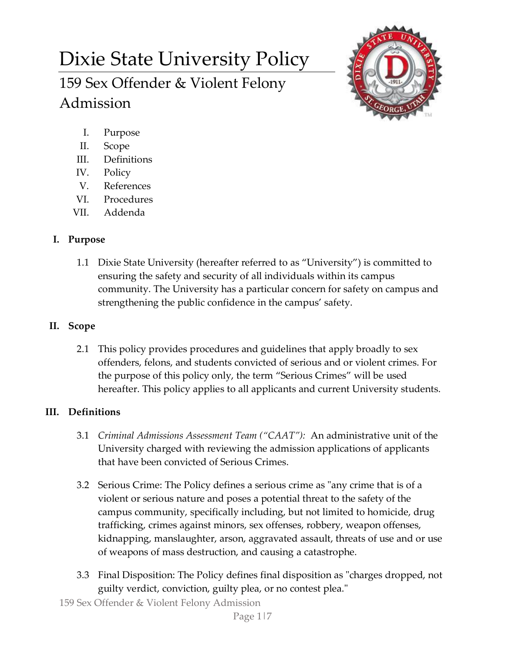# Dixie State University Policy 159 Sex Offender & Violent Felony Admission



- I. Purpose
- II. Scope
- III. Definitions
- IV. Policy
- V. References
- VI. Procedures
- VII. Addenda

# **I. Purpose**

1.1 Dixie State University (hereafter referred to as "University") is committed to ensuring the safety and security of all individuals within its campus community. The University has a particular concern for safety on campus and strengthening the public confidence in the campus' safety.

# **II. Scope**

2.1 This policy provides procedures and guidelines that apply broadly to sex offenders, felons, and students convicted of serious and or violent crimes. For the purpose of this policy only, the term "Serious Crimes" will be used hereafter. This policy applies to all applicants and current University students.

# **III. Definitions**

- 3.1 *Criminal Admissions Assessment Team ("CAAT"):* An administrative unit of the University charged with reviewing the admission applications of applicants that have been convicted of Serious Crimes.
- 3.2 Serious Crime: The Policy defines a serious crime as "any crime that is of a violent or serious nature and poses a potential threat to the safety of the campus community, specifically including, but not limited to homicide, drug trafficking, crimes against minors, sex offenses, robbery, weapon offenses, kidnapping, manslaughter, arson, aggravated assault, threats of use and or use of weapons of mass destruction, and causing a catastrophe.
- 3.3 Final Disposition: The Policy defines final disposition as "charges dropped, not guilty verdict, conviction, guilty plea, or no contest plea."
- 159 Sex Offender & Violent Felony Admission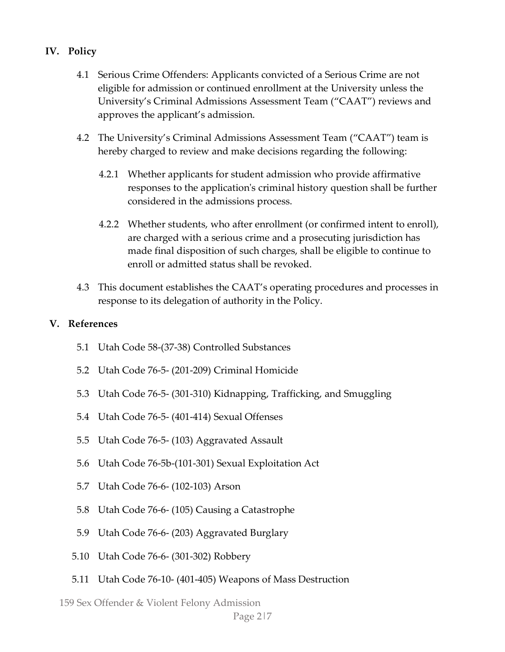#### **IV. Policy**

- 4.1 Serious Crime Offenders: Applicants convicted of a Serious Crime are not eligible for admission or continued enrollment at the University unless the University's Criminal Admissions Assessment Team ("CAAT") reviews and approves the applicant's admission.
- 4.2 The University's Criminal Admissions Assessment Team ("CAAT") team is hereby charged to review and make decisions regarding the following:
	- 4.2.1 Whether applicants for student admission who provide affirmative responses to the application's criminal history question shall be further considered in the admissions process.
	- 4.2.2 Whether students, who after enrollment (or confirmed intent to enroll), are charged with a serious crime and a prosecuting jurisdiction has made final disposition of such charges, shall be eligible to continue to enroll or admitted status shall be revoked.
- 4.3 This document establishes the CAAT's operating procedures and processes in response to its delegation of authority in the Policy.

#### **V. References**

- 5.1 Utah Code 58-(37-38) Controlled Substances
- 5.2 Utah Code 76-5- (201-209) Criminal Homicide
- 5.3 Utah Code 76-5- (301-310) Kidnapping, Trafficking, and Smuggling
- 5.4 Utah Code 76-5- (401-414) Sexual Offenses
- 5.5 Utah Code 76-5- (103) Aggravated Assault
- 5.6 Utah Code 76-5b-(101-301) Sexual Exploitation Act
- 5.7 Utah Code 76-6- (102-103) Arson
- 5.8 Utah Code 76-6- (105) Causing a Catastrophe
- 5.9 Utah Code 76-6- (203) Aggravated Burglary
- 5.10 Utah Code 76-6- (301-302) Robbery
- 5.11 Utah Code 76-10- (401-405) Weapons of Mass Destruction

159 Sex Offender & Violent Felony Admission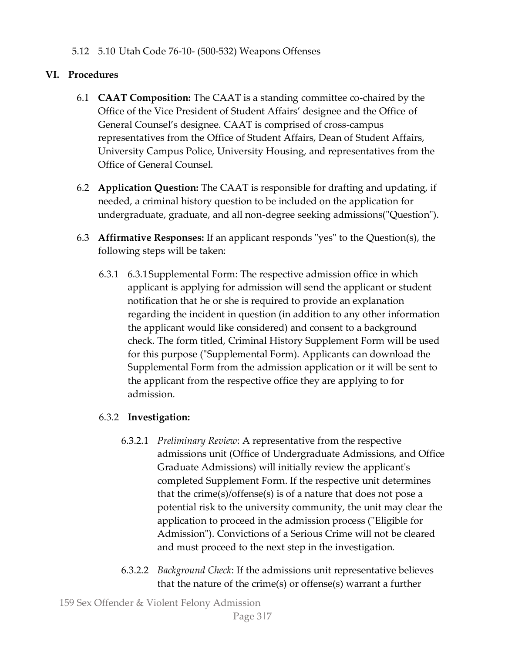5.12 5.10 Utah Code 76-10- (500-532) Weapons Offenses

# **VI. Procedures**

- 6.1 **CAAT Composition:** The CAAT is a standing committee co-chaired by the Office of the Vice President of Student Affairs' designee and the Office of General Counsel's designee. CAAT is comprised of cross-campus representatives from the Office of Student Affairs, Dean of Student Affairs, University Campus Police, University Housing, and representatives from the Office of General Counsel.
- 6.2 **Application Question:** The CAAT is responsible for drafting and updating, if needed, a criminal history question to be included on the application for undergraduate, graduate, and all non-degree seeking admissions("Question").
- 6.3 **Affirmative Responses:** If an applicant responds "yes" to the Question(s), the following steps will be taken:
	- 6.3.1 6.3.1Supplemental Form: The respective admission office in which applicant is applying for admission will send the applicant or student notification that he or she is required to provide an explanation regarding the incident in question (in addition to any other information the applicant would like considered) and consent to a background check. The form titled, Criminal History Supplement Form will be used for this purpose ("Supplemental Form). Applicants can download the Supplemental Form from the admission application or it will be sent to the applicant from the respective office they are applying to for admission.

# 6.3.2 **Investigation:**

- 6.3.2.1 *Preliminary Review*: A representative from the respective admissions unit (Office of Undergraduate Admissions, and Office Graduate Admissions) will initially review the applicant's completed Supplement Form. If the respective unit determines that the crime(s)/offense(s) is of a nature that does not pose a potential risk to the university community, the unit may clear the application to proceed in the admission process ("Eligible for Admission"). Convictions of a Serious Crime will not be cleared and must proceed to the next step in the investigation.
- 6.3.2.2 *Background Check*: If the admissions unit representative believes that the nature of the crime(s) or offense(s) warrant a further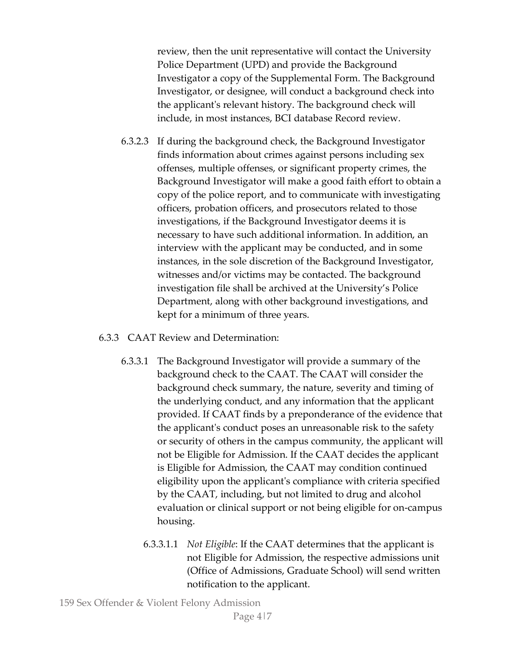review, then the unit representative will contact the University Police Department (UPD) and provide the Background Investigator a copy of the Supplemental Form. The Background Investigator, or designee, will conduct a background check into the applicant's relevant history. The background check will include, in most instances, BCI database Record review.

- 6.3.2.3 If during the background check, the Background Investigator finds information about crimes against persons including sex offenses, multiple offenses, or significant property crimes, the Background Investigator will make a good faith effort to obtain a copy of the police report, and to communicate with investigating officers, probation officers, and prosecutors related to those investigations, if the Background Investigator deems it is necessary to have such additional information. In addition, an interview with the applicant may be conducted, and in some instances, in the sole discretion of the Background Investigator, witnesses and/or victims may be contacted. The background investigation file shall be archived at the University's Police Department, along with other background investigations, and kept for a minimum of three years.
- 6.3.3 CAAT Review and Determination:
	- 6.3.3.1 The Background Investigator will provide a summary of the background check to the CAAT. The CAAT will consider the background check summary, the nature, severity and timing of the underlying conduct, and any information that the applicant provided. If CAAT finds by a preponderance of the evidence that the applicant's conduct poses an unreasonable risk to the safety or security of others in the campus community, the applicant will not be Eligible for Admission. If the CAAT decides the applicant is Eligible for Admission, the CAAT may condition continued eligibility upon the applicant's compliance with criteria specified by the CAAT, including, but not limited to drug and alcohol evaluation or clinical support or not being eligible for on-campus housing.
		- 6.3.3.1.1 *Not Eligible*: If the CAAT determines that the applicant is not Eligible for Admission, the respective admissions unit (Office of Admissions, Graduate School) will send written notification to the applicant.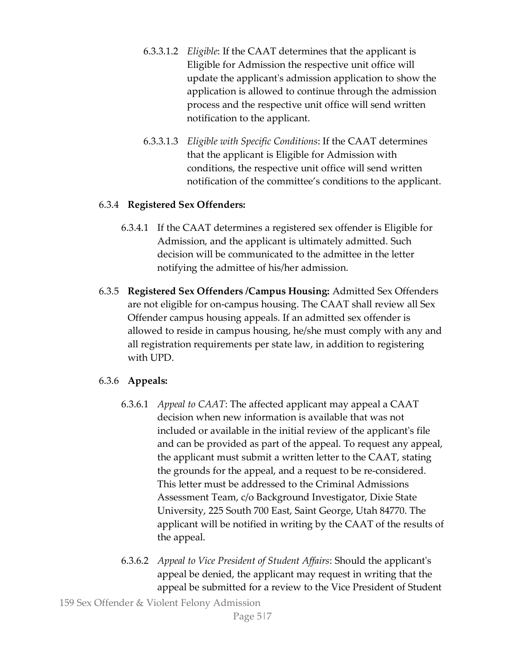- 6.3.3.1.2 *Eligible*: If the CAAT determines that the applicant is Eligible for Admission the respective unit office will update the applicant's admission application to show the application is allowed to continue through the admission process and the respective unit office will send written notification to the applicant.
- 6.3.3.1.3 *Eligible with Specific Conditions*: If the CAAT determines that the applicant is Eligible for Admission with conditions, the respective unit office will send written notification of the committee's conditions to the applicant.

#### 6.3.4 **Registered Sex Offenders:**

- 6.3.4.1 If the CAAT determines a registered sex offender is Eligible for Admission, and the applicant is ultimately admitted. Such decision will be communicated to the admittee in the letter notifying the admittee of his/her admission.
- 6.3.5 **Registered Sex Offenders /Campus Housing:** Admitted Sex Offenders are not eligible for on-campus housing. The CAAT shall review all Sex Offender campus housing appeals. If an admitted sex offender is allowed to reside in campus housing, he/she must comply with any and all registration requirements per state law, in addition to registering with UPD.

### 6.3.6 **Appeals:**

- 6.3.6.1 *Appeal to CAAT*: The affected applicant may appeal a CAAT decision when new information is available that was not included or available in the initial review of the applicant's file and can be provided as part of the appeal. To request any appeal, the applicant must submit a written letter to the CAAT, stating the grounds for the appeal, and a request to be re-considered. This letter must be addressed to the Criminal Admissions Assessment Team, c/o Background Investigator, Dixie State University, 225 South 700 East, Saint George, Utah 84770. The applicant will be notified in writing by the CAAT of the results of the appeal.
- 6.3.6.2 *Appeal to Vice President of Student Affairs*: Should the applicant's appeal be denied, the applicant may request in writing that the appeal be submitted for a review to the Vice President of Student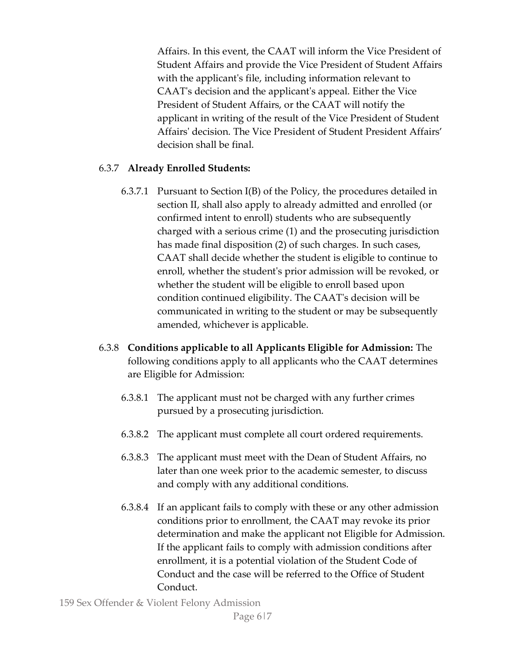Affairs. In this event, the CAAT will inform the Vice President of Student Affairs and provide the Vice President of Student Affairs with the applicant's file, including information relevant to CAAT's decision and the applicant's appeal. Either the Vice President of Student Affairs, or the CAAT will notify the applicant in writing of the result of the Vice President of Student Affairs' decision. The Vice President of Student President Affairs' decision shall be final.

### 6.3.7 **Already Enrolled Students:**

- 6.3.7.1 Pursuant to Section I(B) of the Policy, the procedures detailed in section II, shall also apply to already admitted and enrolled (or confirmed intent to enroll) students who are subsequently charged with a serious crime (1) and the prosecuting jurisdiction has made final disposition (2) of such charges. In such cases, CAAT shall decide whether the student is eligible to continue to enroll, whether the student's prior admission will be revoked, or whether the student will be eligible to enroll based upon condition continued eligibility. The CAAT's decision will be communicated in writing to the student or may be subsequently amended, whichever is applicable.
- 6.3.8 **Conditions applicable to all Applicants Eligible for Admission:** The following conditions apply to all applicants who the CAAT determines are Eligible for Admission:
	- 6.3.8.1 The applicant must not be charged with any further crimes pursued by a prosecuting jurisdiction.
	- 6.3.8.2 The applicant must complete all court ordered requirements.
	- 6.3.8.3 The applicant must meet with the Dean of Student Affairs, no later than one week prior to the academic semester, to discuss and comply with any additional conditions.
	- 6.3.8.4 If an applicant fails to comply with these or any other admission conditions prior to enrollment, the CAAT may revoke its prior determination and make the applicant not Eligible for Admission. If the applicant fails to comply with admission conditions after enrollment, it is a potential violation of the Student Code of Conduct and the case will be referred to the Office of Student Conduct.